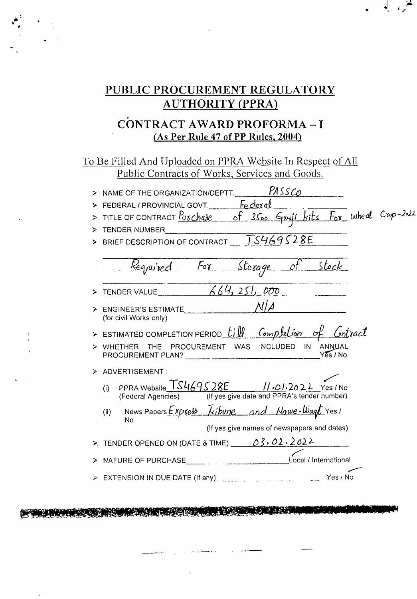# PUBLIC PROCUREMENT REGULATORY **AUTHORITY (PPRA)**

## CONTRACT AWARD PROFORMA-I (As Per Rule 47 of PP Rules, 2004)

To Be Filled And Uploaded on PPRA Website In Respect of All Public Contracts of Works, Services and Goods.

|   | PASSCO<br>> NAME OF THE ORGANIZATION/DEPTT.                                                                                                |
|---|--------------------------------------------------------------------------------------------------------------------------------------------|
|   | FEDERAL/PROVINCIAL GOVT. Federal                                                                                                           |
|   | TITLE OF CONTRACT Purchase of 3500 Guyi Kits For Wheat Crop-2022                                                                           |
| ⋗ | TENDER NUMBER                                                                                                                              |
|   | BRIEF DESCRIPTION OF CONTRACT TS469528E                                                                                                    |
|   | Required For Storage of Stock                                                                                                              |
|   | TENDER VALUE $664,251,000$                                                                                                                 |
|   | NI A<br>ENGINEER'S ESTIMATE<br>(for civil Works only)                                                                                      |
|   | > ESTIMATED COMPLETION PERIOD $\text{Lill}$ Completion of Contract                                                                         |
|   | WHETHER THE PROCUREMENT WAS INCLUDED<br>IN ANNUAL<br>$Y\bar{\mathcal{E}}s/No$                                                              |
|   | > ADVERTISEMENT:                                                                                                                           |
|   | (i) PPRA Website $\frac{TS469528E}{TSS4595}$ // $\cdot$ 01.2022 Yes / No<br>(Federal Agencies) (If yes give date and PPRA's tender number) |
|   | News Papers Express <i>kibune</i> and Nawe-Wagt Yes!<br>(ii)<br>No                                                                         |
|   | (If yes give names of newspapers and dates)                                                                                                |
|   | > TENDER OPENED ON (DATE & TIME) $0.3.02.2022$                                                                                             |
|   | Local / International<br>NATURE OF PURCHASE                                                                                                |
|   | Yes / No<br>EXTENSION IN DUE DATE (If any)                                                                                                 |

A START AND THE START OF THE START OF THE START OF THE START OF THE START OF THE START OF THE START OF THE STA

 $\mathbf{I}$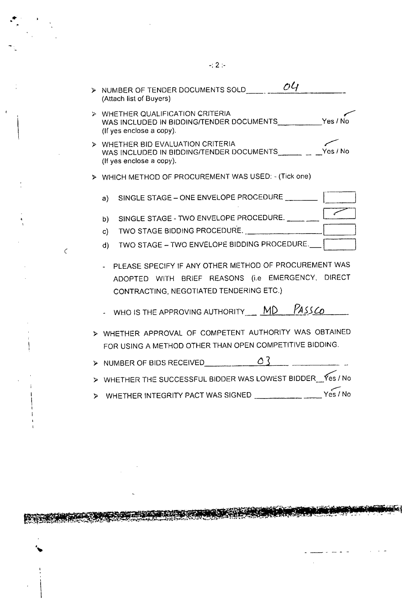|    |              | > NUMBER OF TENDER DOCUMENTS SOLD<br>(Attach list of Buyers)                                                                                                                                        | O <sub>4</sub> |  |
|----|--------------|-----------------------------------------------------------------------------------------------------------------------------------------------------------------------------------------------------|----------------|--|
| ъ. |              | WHETHER QUALIFICATION CRITERIA<br>WAS INCLUDED IN BIDDING/TENDER DOCUMENTS____________Yes / No<br>(If yes enclose a copy).                                                                          |                |  |
| ⋗  |              | WHETHER BID EVALUATION CRITERIA<br>WAS INCLUDED IN BIDDING/TENDER DOCUMENTS _____ _ _ _Yes / No<br>(If yes enclose a copy).                                                                         |                |  |
|    |              | > WHICH METHOD OF PROCUREMENT WAS USED: - (Tick one)                                                                                                                                                |                |  |
|    | a)           | SINGLE STAGE - ONE ENVELOPE PROCEDURE ____________                                                                                                                                                  |                |  |
|    | b)           | SINGLE STAGE - TWO ENVELOPE PROCEDURE.                                                                                                                                                              |                |  |
|    | $\mathsf{c}$ | TWO STAGE BIDDING PROCEDURE.                                                                                                                                                                        |                |  |
|    | $\mathsf{d}$ | TWO STAGE - TWO ENVELOPE BIDDING PROCEDURE.                                                                                                                                                         |                |  |
|    |              | PLEASE SPECIFY IF ANY OTHER METHOD OF PROCUREMENT WAS<br>ADOPTED WITH BRIEF REASONS (i.e EMERGENCY, DIRECT<br>CONTRACTING, NEGOTIATED TENDERING ETC.)<br>- WHO IS THE APPROVING AUTHORITY $\_\_$ MD | PASSCO         |  |
|    |              |                                                                                                                                                                                                     |                |  |
|    |              | > WHETHER APPROVAL OF COMPETENT AUTHORITY WAS OBTAINED<br>FOR USING A METHOD OTHER THAN OPEN COMPETITIVE BIDDING.                                                                                   |                |  |
|    |              | > NUMBER OF BIDS RECEIVED $\overline{O3}$                                                                                                                                                           |                |  |
|    |              | > WHETHER THE SUCCESSFUL BIDDER WAS LOWEST BIDDER __ Yes / No                                                                                                                                       |                |  |

Ă

 $\zeta$ 

> WHETHER INTEGRITY PACT WAS SIGNED

**START OF** 

الترافعة

بالمنشاط

بزمتما

 $\sim$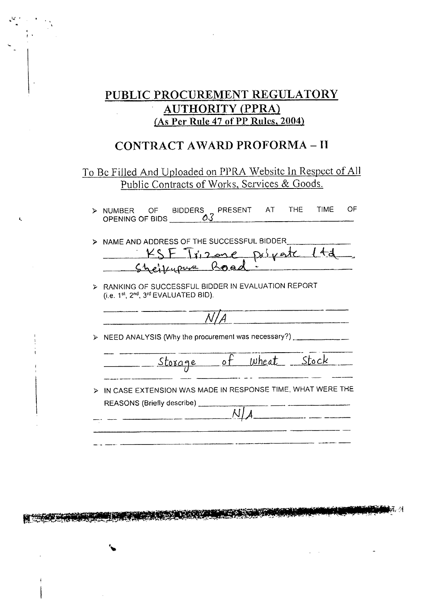## PUBLIC PROCUREMENT REGULATORY **AUTHORITY (PPRA)** (As Per Rule 47 of PP Rules, 2004)

## **CONTRACT AWARD PROFORMA-II**

### To Be Filled And Uploaded on PPRA Website In Respect of All Public Contracts of Works, Services & Goods.

|                 |  | > NUMBER OF BIDDERS PRESENT AT THE TIME |  | OF. |
|-----------------|--|-----------------------------------------|--|-----|
| OPENING OF BIDS |  |                                         |  |     |
|                 |  |                                         |  |     |

| > NAME AND ADDRESS OF THE SUCCESSFUL BIDDER |
|---------------------------------------------|
| KSF Trizone psiyate 14d                     |
| Sheilupure Road:                            |

> RANKING OF SUCCESSFUL BIDDER IN EVALUATION REPORT (i.e. 1st, 2nd, 3rd EVALUATED BID).

Ċ

> NEED ANALYSIS (Why the procurement was necessary?) \_\_\_\_\_\_\_\_\_\_\_\_\_

Wheat Stock Storage ot

 $\sim 10^{-11}$ 

> IN CASE EXTENSION WAS MADE IN RESPONSE TIME, WHAT WERE THE REASONS (Briefly describe)  $\overline{\text{N/A}}$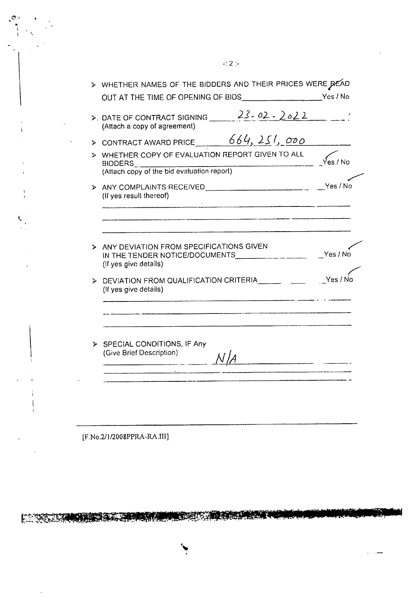|    | $\triangleright$ WHETHER NAMES OF THE BIDDERS AND THEIR PRICES WERE READ                                                              |          |
|----|---------------------------------------------------------------------------------------------------------------------------------------|----------|
|    | $\triangleright$ DATE OF CONTRACT SIGNING $\frac{23.02.2022}{}$<br>(Attach a copy of agreement)                                       |          |
|    | > CONTRACT AWARD PRICE $664, 251, 000$                                                                                                |          |
|    | > WHETHER COPY OF EVALUATION REPORT GIVEN TO ALL<br><b>BIDDERS</b>                                                                    | Yes / No |
|    | BIDDERS<br>(Attach copy of the bid evaluation report)                                                                                 |          |
|    | (If yes result thereof)                                                                                                               |          |
| ⋗  | ANY DEVIATION FROM SPECIFICATIONS GIVEN<br>IN THE TENDER NOTICE/DOCUMENTS _______________________ __Yes / No<br>(If yes give details) |          |
| ⋗  | DEVIATION FROM QUALIFICATION CRITERIA <b>EXAMPLE</b><br>(If yes give details)                                                         | Yes / No |
|    |                                                                                                                                       |          |
|    |                                                                                                                                       |          |
|    |                                                                                                                                       |          |
| Þ. | SPECIAL CONDITIONS, IF Any<br>(Give Brief Description)                                                                                |          |

[F.No.2/1/2008PPRA-RA.III]

EN TERRITORIA ESPERANTE DE PARTICIPADA EN TERRITORIA

J.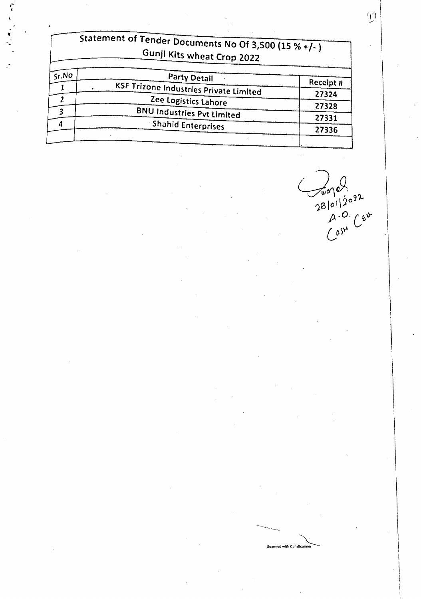| Statement of Tender Documents No Of 3,500 (15 % +/-)<br>Gunji Kits wheat Crop 2022 |                                               |           |  |
|------------------------------------------------------------------------------------|-----------------------------------------------|-----------|--|
| Sr.NO                                                                              | Party Detail                                  | Receipt # |  |
|                                                                                    | <b>KSF Trizone Industries Private Limited</b> | 27324     |  |
|                                                                                    | Zee Logistics Lahore                          | 27328     |  |
|                                                                                    | <b>BNU Industries Pvt Limited</b>             |           |  |
|                                                                                    | <b>Shahid Enterprises</b>                     | 27331     |  |
|                                                                                    |                                               | 27336     |  |

 $\frac{1}{2810112092}$ <br>28/01/2092<br>(051<sup>x</sup> Cev

Scanned with CamScanne

 $\widetilde{\mathbb{A}}$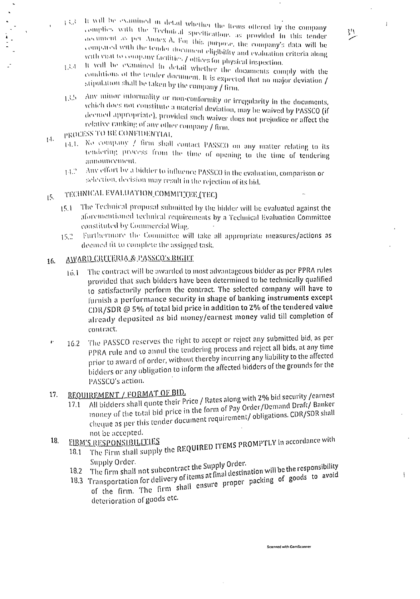It will be examined in detail whether the fiems offered by the company  $1.31$ complies with the Technical specifications as provided in this tender accument as per Annex A. For this purpose, the company's data will be compared with the tender document eligibility and evaluation criteria along with you to company facilities / offices for physical inspection.

 $\bar{1}$ 

 $\overline{1}$ 

处

- It will be examined in detail whether the documents comply with the 13.4 conditions of the tender document. It is expected that no major deviation / stipulation shall be taken by the company / firm.
- Any minor informality or non-conformity or irregularity in the documents, 13.50 which does not constitute a material deviation, may be waived by PASSCO (if deemed appropriate), provided such waiver does not prejudice or affect the relative ranking of any other company / firm.
- PROCESS TO BE CONFIDENTIAL  $14.$ 
	- 14.1. No company / firm shall contact PASSCO on any matter relating to its tendering process from the time of opening to the time of tendering announcement.
	- Any effort by a bidder to influence PASSCO in the evaluation, comparison or  $14.2^{\circ}$ selection, decision may result in the rejection of its bid.

### TECHNICAL EVALUATION COMMITTEE (TEC)  $15.$

- The Technical proposal submitted by the bidder will be evaluated against the  $15.1$ aforementioned technical requirements by a Technical Evaluation Committee constituted by Commercial Wing.
- Furthermore the Committee will take all appropriate measures/actions as  $15.2$ deemed fit to complete the assigned task.

#### AWARD CREEERIA & PASSCO'S RIGHT 16.

- The contract will be awarded to most advantageous bidder as per PPRA rules  $16.1$ provided that such bidders have been determined to be technically qualified to satisfactorily perform the contract. The selected company will have to furnish a performance security in shape of banking instruments except CDR/SDR @ 5% of total bid price in addition to 2% of the tendered value already deposited as bid money/earnest money valid till completion of contract.
- The PASSCO reserves the right to accept or reject any submitted bid, as per  $\pmb{\psi}$ 16.2 PPRA rule and to annul the tendering process and reject all bids, at any time prior to award of order, without thereby incurring any liability to the affected bidders or any obligation to inform the affected bidders of the grounds for the PASSCO's action.

### REQUIREMENT / FORMAT OF BID. 17.

- All bidders shall quote their Price / Rates along with 2% bid security /earnest money of the total bid price in the form of Pay Order/Demand Draft/ Banker  $17.1$ cheque as per this tender document requirement/obligations. CDR/SDR shall not be accepted.
- 18. **FIRM'S RESPONSIBILITIES**
- The Firm shall supply the REQUIRED ITEMS PROMPTLY in accordance with  $18.1$ Supply Order.
	- 18.2 The firm shall not subcontract the Supply Order.
	- 18.3 Transportation for delivery of items at final destination will be the responsibility of the firm. The firm shall ensure proper packing of goods to avoid deterioration of goods etc.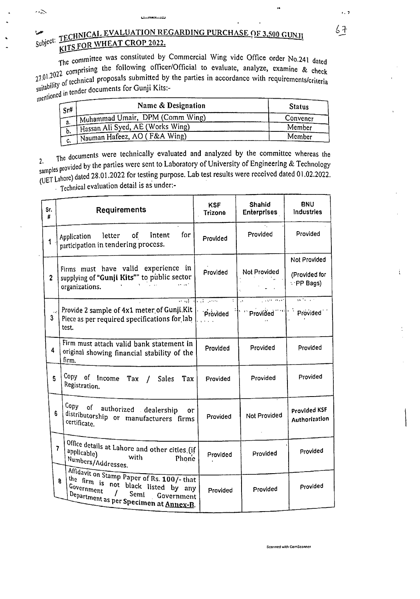THE THRICAL EVALUATION REGARDING PURCHASE OF 3,500 GUN.  $S^{ubJCC}$  .  $\frac{1}{100}$ FS FOR WHEAT CROP 2022. KITS FOR WHEAT CROP 2022.

 $\overline{1}$ 

 $\sim$   $\geq$ 

The commissing the following officer/Official to evaluate, analyze, examine & check<br>21.01.2022 comprising the following officer/Official to evaluate, analyze, examine & check The committee was constituted by Commercial Wing vide Office order No.241 dated  $27.01.2022$  compare on the comparison of technical proposals submitted by the parties in accordance with requirements/criteria<br>suitability of technical proposals submitted by the parties in accordance with requirements/c

| mentionen er<br>Sr# | Name & Designation               | <b>Status</b> |
|---------------------|----------------------------------|---------------|
|                     | Muhammad Umair, DPM (Comm Wing)  | Convencr      |
| a.                  | Hassan Ali Syed, AE (Works Wing) | Member        |
| D.<br>C.            | Nauman Hafeez, AO (F&A Wing)     | Member        |

The documents were technically evaluated and analyzed by the committee whereas the  $2<sup>2</sup>$ , 1 rovided by the parties were sent to Laboratory of University of Engineering & Technolog samp es p . . .] . . d d Samples France) dated 28.01.2022 for testing purpose. Lab test results were reccived dated 01.02.2022.  $\overline{U}$  Technical evaluation detail is as under:-

| Sr.<br>#       |                          | <b>Requirements</b>                                                                                                                                             | <b>KSF</b><br>Trizone    | Shahid<br><b>Enterprises</b> | <b>BNU</b><br><b>Industries</b>                   |
|----------------|--------------------------|-----------------------------------------------------------------------------------------------------------------------------------------------------------------|--------------------------|------------------------------|---------------------------------------------------|
| $\mathbf{1}$   |                          | for<br>Intent<br>letter of<br>Application<br>participation in tendering process.                                                                                | Provided                 | Provided                     | Provided                                          |
| $\overline{2}$ |                          | Firms must have valid experience in<br>Provided<br>supplying of "Gunji Kits"" to public sector<br>organizations.                                                |                          | Not Provided                 | Not Provided<br>(Provided for<br>$\cdot$ PP Bags) |
| $\mathbf{3}$   |                          | Provide 2 sample of 4x1 meter of Gunji.Kit<br>Piece as per required specifications for lab<br>test.                                                             | ਚਾਰੀ ਜਾਂ ਕਾਲ<br>Provided | ಸ<br>重新<br>Provided          | $\overline{a}$<br>Provided                        |
| 4              |                          | Firm must attach valid bank statement in<br>original showing financial stability of the<br>firm.                                                                | Provided                 | Provided                     | Provided                                          |
| 5              |                          | Copy of Income Tax /<br>Sales<br>Tax<br>Registration.                                                                                                           | Provided                 | Provided                     | Provided                                          |
| 6              |                          | Copy of authorized dealership<br>٥r<br>distributorship or manufacturers firms<br>certificate.                                                                   | Provided                 | Not Provided                 | Provided KSF<br>Authorization                     |
|                | $\overline{\phantom{a}}$ | Office details at Lahore and other cities (if<br>applicable)<br><b>with</b><br>Phone<br>Numbers/Addresses.                                                      | Provided                 | Provided                     | Provided                                          |
|                | $\mathbf{R}$             | Affidavit on Stamp Paper of Rs. 100/- that<br>the firm is not black listed by any<br>Government<br>Semi<br>Department as per Specimen at Annex-B.<br>Government | Provided                 | Provided                     | Provided                                          |

 $6<sup>1</sup>$ 

 $, 7$ 

ŧ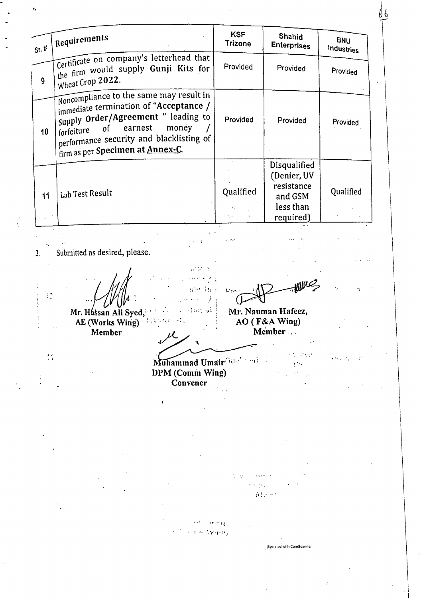Requirements **KSF Shahid BNU Trizone Enterprises**  $Sr.$ # **Industries** Certificate on company's letterhead that the firm would supply Gunji Kits for Provided Provided Provided Wheat Crop 2022.  $\mathbf{9}$ Noncompliance to the same may result in immediate termination of "Acceptance / Supply Order/Agreement " leading to Provided Provided Provided forfeiture earnest  $of$ money  $10$ performance security and blacklisting of firm as per Specimen at Annex-C. **Disqualified** (Denier, UV resistance Lab Test Result Qualified Qualified  $11$ and GSM less than required) Submitted as desired, please.  $3.$  $\mathcal{F}$  . ang lao ings.  $\mathbb{C}^{\mathbb{Z}}$  $\sim 10^{-12}$  $\mathcal{F}$ s samsk∲ Mr. Hassan Ali Syed. Mr. Nauman Hafeez, AE (Works Wing) AO (F&A Wing) 本地方(6) 一般 Member Member  $\epsilon$  ,  $\epsilon$  ,  $\epsilon$  ,  $\epsilon$  ,  $\epsilon$  $\frac{1}{2}$  ,  $\mathcal{A}_{\mathcal{M}}$  and  $\mathcal{A}_{\mathcal{M}}$ Muhammad Umair Bardenia  $\chi\lesssim 1$ DPM (Comm Wing)  $\mathcal{L}_{\text{max}}$  , where  $\mathcal{L}_{\text{max}}$ Convener  $\mathcal{W}^{L}$  , and  $\alpha\alpha^2 = \alpha\alpha^2\alpha^2\alpha^2$ **CEA Warn** Scanned with CamScanner

66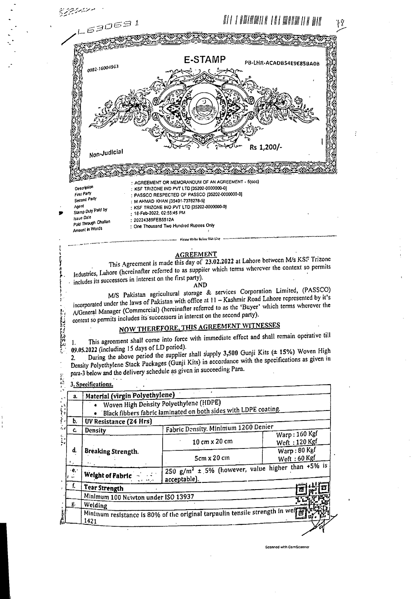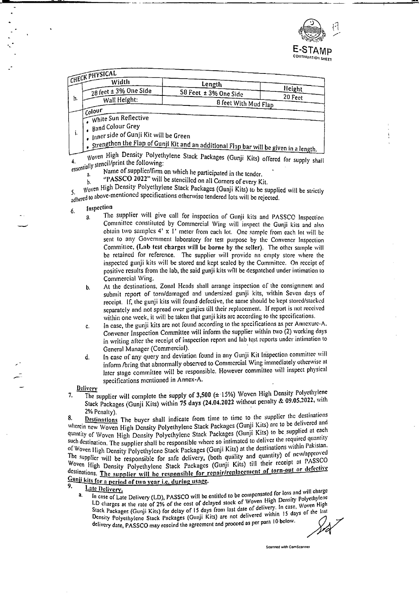

| $\equiv$ <sub>CK</sub> pHYSICAL |  |  |
|---------------------------------|--|--|
|                                 |  |  |
|                                 |  |  |
|                                 |  |  |

|    | CHECL<br>Width                        | Length                    |         |
|----|---------------------------------------|---------------------------|---------|
|    | $\frac{1}{28}$ feet ± 3% One Side     | 58 Feet $\pm$ 3% One Side | Height  |
| h. | Wall Height:                          | 8 feet With Mud Flap      | 20 Feet |
|    | i Colour                              |                           |         |
|    | White Sun Reflective                  |                           |         |
|    | I <sub>e</sub> Band Colour Grey       |                           |         |
| ۱. | Inner side of Gunji Kit will be Green |                           |         |

Strengthen the Flap of Gunji Kit and an additional Flap bar will be given in a length.

Woven High Density Polyethylene Stack Packages (Gunji Kits) offered for supply shall essentially stencil/print the following:

- Name of supplier/firm on which he participated in the tender. a.
- "PASSCO 2022" will be stencilled on all Corners of every Kit. b.

Woven High Density Polycthylene Stack Packages (Gunji Kits) to be supplied will be strictly adhered to above-mentioned specifications otherwise tendered lots will be rejected.

- Inspection 6.
	- The supplier will give call for inspection of Gunji kits and PASSCO Inspection a. Committee constituted by Commercial Wing will inspect the Gunji kits and also obtain two samples 4' x 1' meter from each lot. One sample from each lot will be sent to any Government laboratory for test purpose by the Convener Inspection Committee, (Lab test charges will be borne by the seller). The other sample will be retained for reference. The supplier will provide an empty store where the inspected gunji kits will be stored and kept scaled by the Committee. On receipt of positive results from the lab, the said gunji kits will be despatched under intimation to Commercial Wing.
	- At the destinations, Zonal Heads shall arrange inspection of the consignment and b. submit report of torn/damaged and undersized gunji kits, within Seven days of receipt. If, the gunji kits will found defective, the same should be kept stored/stacked separately and not spread over gunjies till their replacement. If report is not received within one week, it will be taken that gunji kits are according to the specifications.
	- In case, the gunji kits are not found according to the specifications as per Annexure-A. c. Convener Inspection Committee will inform the supplier within two (2) working days in writing after the receipt of inspection report and lab test reports under intimation to General Manager (Commercial).
	- In case of any query and deviation found in any Gunji Kit Inspection committee will d. inform /bring that abnormally observed to Commercial Wing immediately otherwise at later stage committee will be responsible. However committee will inspect physical specifications mentioned in Annex-A.

Delivery

The supplier will complete the supply of 3,500 (± 15%) Woven High Density Polyethylene 7. Stack Packages (Gunji Kits) within 75 days (24.04.2022 without penalty & 09.05.2022, with 2% Penalty).

Destinations The buyer shall indicate from time to time to the supplier the destinations 8. wherein new Woven High Density Polyethylene Stack Packages (Gunji Kits) are to be delivered and quantity of Woven High Density Polyethylene Stack Packages (Gunji Kits) to be supplied at each such destination. The supplier shall be responsible where so intimated to deliver the required quantity of Woven High Density Polyethylene Stack Packages (Gunji Kits) at the destinations within Pakistan. The supplier will be responsible for safe delivery, (both quality and quantity) of new/approved Woven High Density Polyethylene Stack Packages (Gunji Kits) till their receipt at PASSCO destinations. The supplier will be responsible for repair/replacement of torn-out or defective

Gunji kits for a period of two year i.e. during usage.  $\mathbf{Q}$ 

- Late Delivery. a.
	- In case of Late Delivery (LD), PASSCO will be entitled to be compensated for loss and will charge LD charges at the rate of 2% of the cost of delayed stock of Woven High Density Polyethylene Stack Packages (Gunji Kits) for delay of 15 days from last date of delivery. In case, Woven High Density Polyethylene Stack Packages (Gunji Kits) are not delivered within 15 days of the last delivery date, PASSCO may rescind the agreement and proceed as per para 10 below.